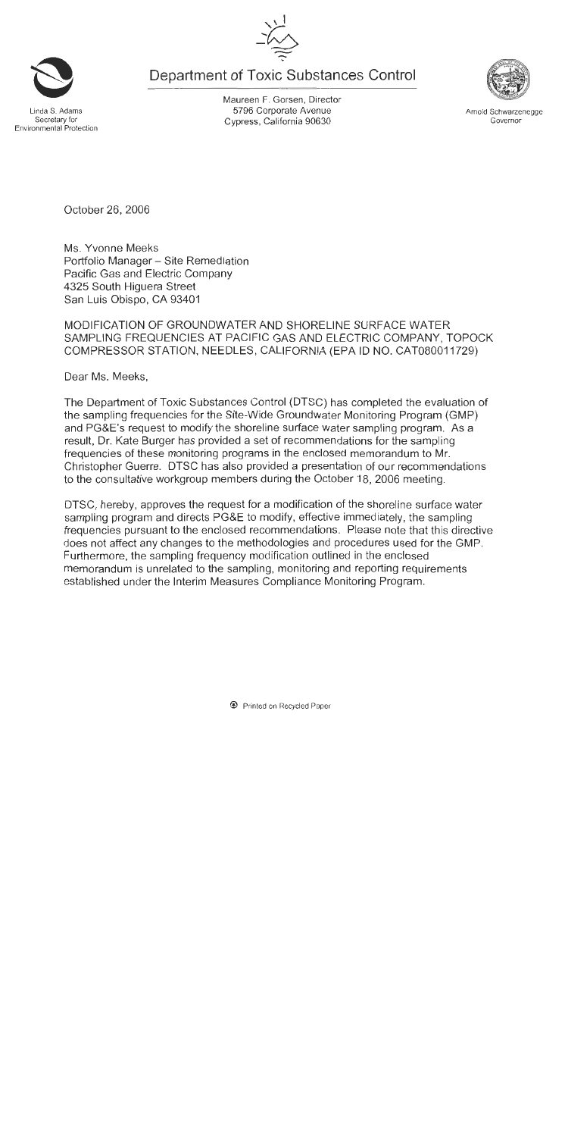Department of Toxic Substances Control

.inda S. Adams Secretary for Environmental Protection Maureen F. Gorsen, Director 5796 Corporate Avenue Cypress, California 90630

October 26, 2006

Ms. Yvonne Meeks Portfolio Manager - Site Remediation Pacific Gas and Electric Company 4325 South Higuera Street San Luis Obispo, CA 93401

MODIFICATION OF GROUNDWATER AND SHORELINE SURFACE WATER SAMPLING FREQUENCIES AT PACIFIC GAS AND ELECTRIC COMPANY, TOPOCK COMPRESSOR STATION, NEEDLES, CALIFORNIA (EPA ID NO. CAT080011729)

Dear Ms. Meeks.

The Department of Toxic Substances Control (DTSC) has completed the evaluation of the sampling frequencies for the Site-Wide Groundwater Monitoring Program (GMP) and PG&E's request to modify the shoreline surface water sampling program. As a result, Dr. Kate Burger has provided a set of recommendations for the sampling frequencies of these monitoring programs in the enclosed memorandum to Mr. Christopher Guerre. DTSC has also provided a presentation of our recommendations to the consultative workgroup members during the October 18, 2006 meeting.

DTSC, hereby, approves the request for a modification of the shoreline surface water sampling program and directs PG&E to modify, effective immediately, the sampling frequencies pursuant to the enclosed recommendations. Please note that this directive does not affect any changes to the methodologies and procedures used for the GMP. Furthermore, the sampling frequency modification outlined in the enclosed memorandum is unrelated to the sampling, monitoring and reporting requirements established under the Interim Measures Compliance Monitoring Program.



Arnold Schwarzenegge

Governor



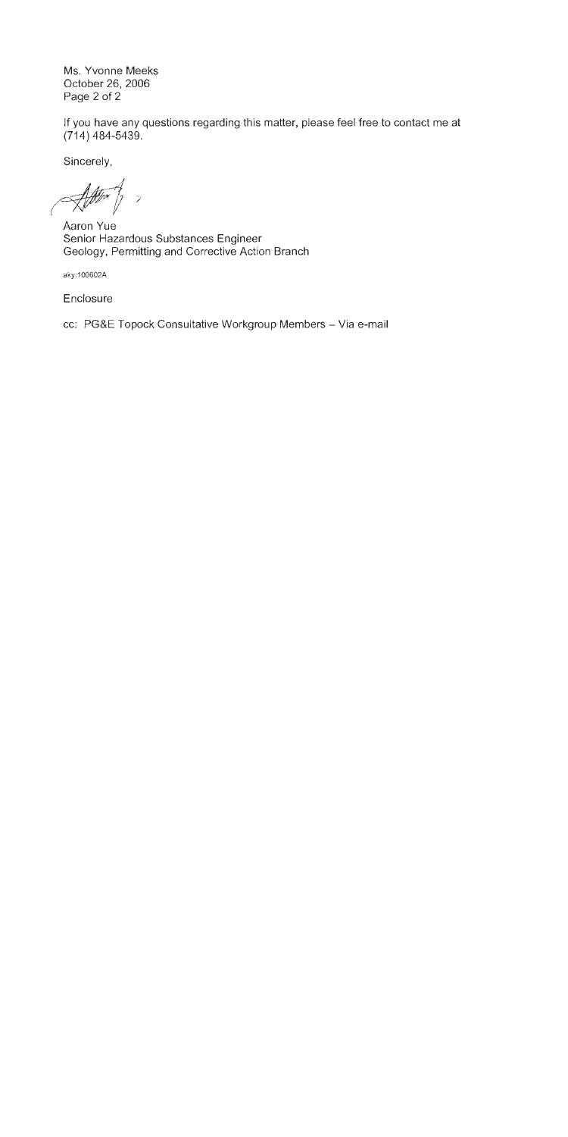Ms. Yvonne Meeks October 26, 2006 Page 2 of 2

If you have any questions regarding this matter, please feel free to contact me at  $(714)$  484-5439.

Sincerely,

 $\rightarrow$ 

Aaron Yue Senior Hazardous Substances Engineer Geology, Permitting and Corrective Action Branch

aky:100602A

Enclosure

cc: PG&E Topock Consultative Workgroup Members - Via e-mail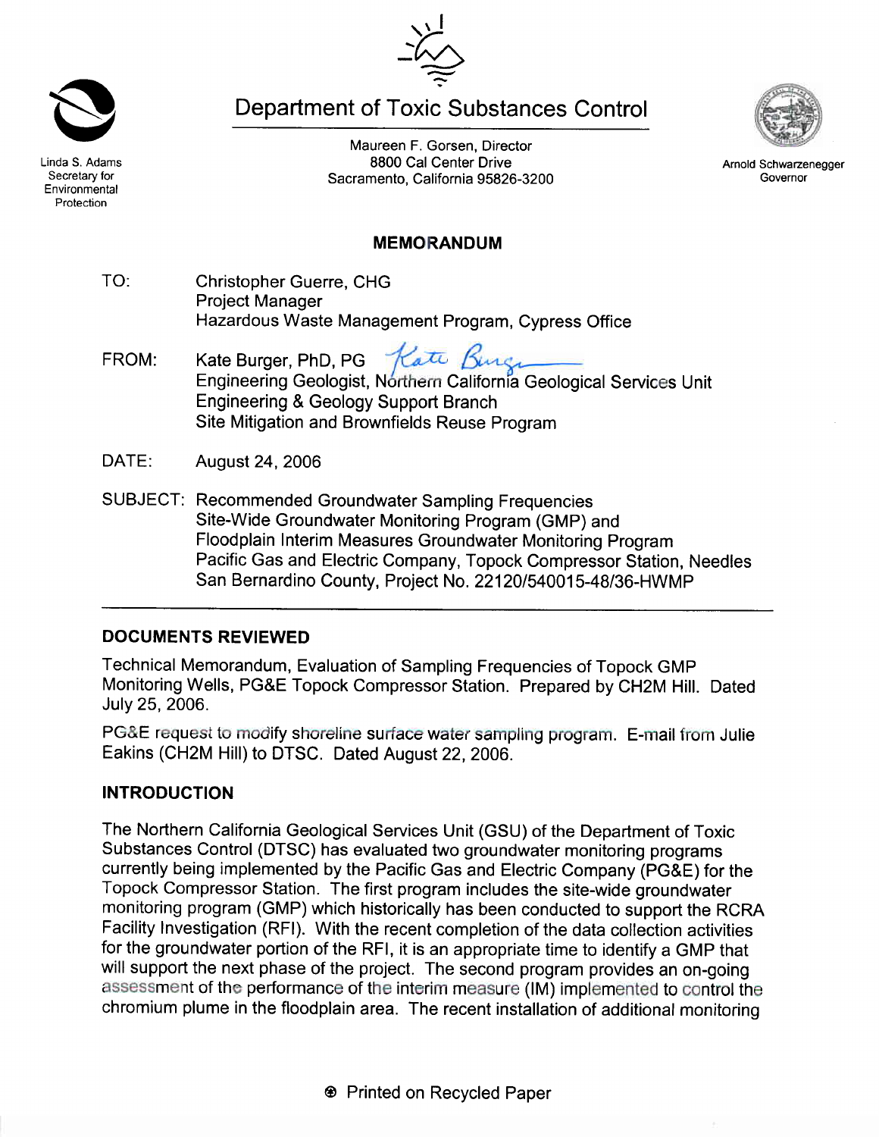Linda S. Adams Secretary for Environmental Protection

**Department of Toxic Substances Control** 

Maureen F. Gorsen, Director 8800 Cal Center Drive Sacramento, California 95826-3200

# **MEMORANDUM**

- TO: **Christopher Guerre, CHG Project Manager** Hazardous Waste Management Program, Cypress Office
- Kate Burger, PhD, PG Rate Bings FROM: Engineering Geologist, Northern California Geological Services Unit Engineering & Geology Support Branch Site Mitigation and Brownfields Reuse Program
- DATE: August 24, 2006
- SUBJECT: Recommended Groundwater Sampling Frequencies Site-Wide Groundwater Monitoring Program (GMP) and Floodplain Interim Measures Groundwater Monitoring Program Pacific Gas and Electric Company, Topock Compressor Station, Needles San Bernardino County, Project No. 22120/540015-48/36-HWMP

# **DOCUMENTS REVIEWED**

Technical Memorandum, Evaluation of Sampling Frequencies of Topock GMP Monitoring Wells, PG&E Topock Compressor Station. Prepared by CH2M Hill. Dated July 25, 2006.

PG&E request to modify shoreline surface water sampling program. E-mail from Julie Eakins (CH2M Hill) to DTSC. Dated August 22, 2006.

# **INTRODUCTION**

The Northern California Geological Services Unit (GSU) of the Department of Toxic Substances Control (DTSC) has evaluated two groundwater monitoring programs currently being implemented by the Pacific Gas and Electric Company (PG&E) for the Topock Compressor Station. The first program includes the site-wide groundwater monitoring program (GMP) which historically has been conducted to support the RCRA Facility Investigation (RFI). With the recent completion of the data collection activities for the groundwater portion of the RFI, it is an appropriate time to identify a GMP that will support the next phase of the project. The second program provides an on-going assessment of the performance of the interim measure (IM) implemented to control the chromium plume in the floodplain area. The recent installation of additional monitoring



Arnold Schwarzenegger Governor

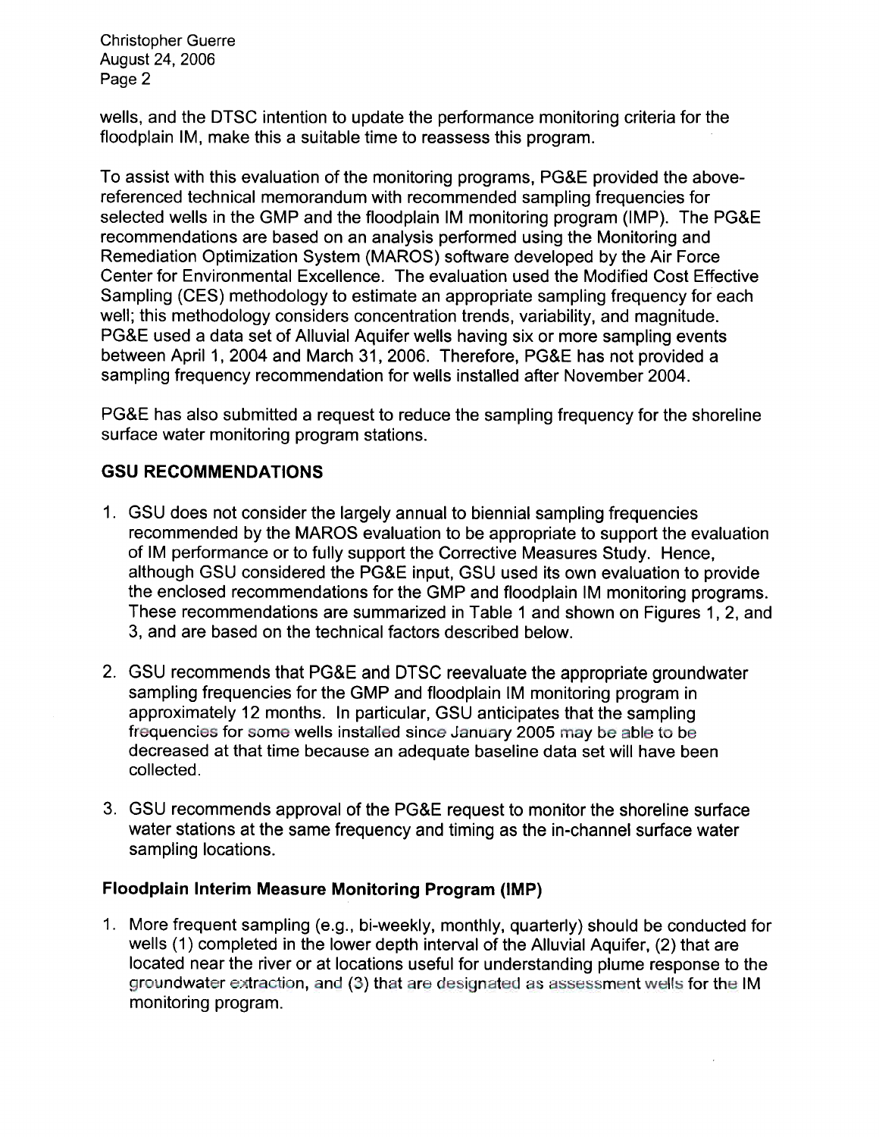**Christopher Guerre** August 24, 2006 Page 2

wells, and the DTSC intention to update the performance monitoring criteria for the floodplain IM, make this a suitable time to reassess this program.

To assist with this evaluation of the monitoring programs, PG&E provided the abovereferenced technical memorandum with recommended sampling frequencies for selected wells in the GMP and the floodplain IM monitoring program (IMP). The PG&E recommendations are based on an analysis performed using the Monitoring and Remediation Optimization System (MAROS) software developed by the Air Force Center for Environmental Excellence. The evaluation used the Modified Cost Effective Sampling (CES) methodology to estimate an appropriate sampling frequency for each well; this methodology considers concentration trends, variability, and magnitude. PG&E used a data set of Alluvial Aquifer wells having six or more sampling events between April 1, 2004 and March 31, 2006. Therefore, PG&E has not provided a sampling frequency recommendation for wells installed after November 2004.

PG&E has also submitted a request to reduce the sampling frequency for the shoreline surface water monitoring program stations.

## **GSU RECOMMENDATIONS**

- 1. GSU does not consider the largely annual to biennial sampling frequencies recommended by the MAROS evaluation to be appropriate to support the evaluation of IM performance or to fully support the Corrective Measures Study. Hence. although GSU considered the PG&E input, GSU used its own evaluation to provide the enclosed recommendations for the GMP and floodplain IM monitoring programs. These recommendations are summarized in Table 1 and shown on Figures 1, 2, and 3, and are based on the technical factors described below.
- 2. GSU recommends that PG&E and DTSC reevaluate the appropriate groundwater sampling frequencies for the GMP and floodplain IM monitoring program in approximately 12 months. In particular, GSU anticipates that the sampling frequencies for some wells installed since January 2005 may be able to be decreased at that time because an adequate baseline data set will have been collected.
- 3. GSU recommends approval of the PG&E request to monitor the shoreline surface water stations at the same frequency and timing as the in-channel surface water sampling locations.

### Floodplain Interim Measure Monitoring Program (IMP)

1. More frequent sampling (e.g., bi-weekly, monthly, quarterly) should be conducted for wells (1) completed in the lower depth interval of the Alluvial Aquifer, (2) that are located near the river or at locations useful for understanding plume response to the groundwater extraction, and (3) that are designated as assessment wells for the IM monitoring program.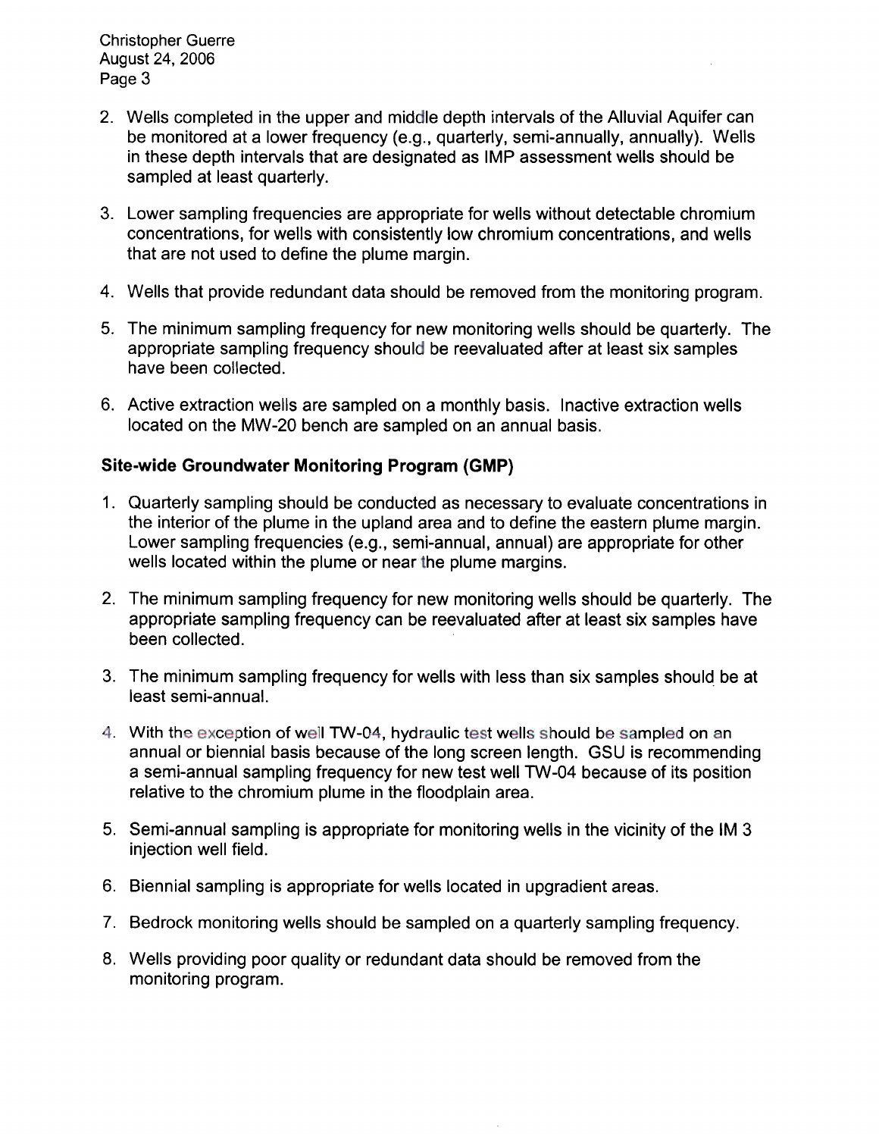**Christopher Guerre** August 24, 2006 Page 3

- 2. Wells completed in the upper and middle depth intervals of the Alluvial Aquifer can be monitored at a lower frequency (e.g., quarterly, semi-annually, annually). Wells in these depth intervals that are designated as IMP assessment wells should be sampled at least quarterly.
- 3. Lower sampling frequencies are appropriate for wells without detectable chromium concentrations, for wells with consistently low chromium concentrations, and wells that are not used to define the plume margin.
- 4. Wells that provide redundant data should be removed from the monitoring program.
- 5. The minimum sampling frequency for new monitoring wells should be quarterly. The appropriate sampling frequency should be reevaluated after at least six samples have been collected.
- 6. Active extraction wells are sampled on a monthly basis. Inactive extraction wells located on the MW-20 bench are sampled on an annual basis.

## Site-wide Groundwater Monitoring Program (GMP)

- 1. Quarterly sampling should be conducted as necessary to evaluate concentrations in the interior of the plume in the upland area and to define the eastern plume margin. Lower sampling frequencies (e.g., semi-annual, annual) are appropriate for other wells located within the plume or near the plume margins.
- 2. The minimum sampling frequency for new monitoring wells should be quarterly. The appropriate sampling frequency can be reevaluated after at least six samples have been collected.
- 3. The minimum sampling frequency for wells with less than six samples should be at least semi-annual.
- 4. With the exception of well TW-04, hydraulic test wells should be sampled on an annual or biennial basis because of the long screen length. GSU is recommending a semi-annual sampling frequency for new test well TW-04 because of its position relative to the chromium plume in the floodplain area.
- 5. Semi-annual sampling is appropriate for monitoring wells in the vicinity of the IM 3 injection well field.
- 6. Biennial sampling is appropriate for wells located in upgradient areas.
- 7. Bedrock monitoring wells should be sampled on a quarterly sampling frequency.
- 8. Wells providing poor quality or redundant data should be removed from the monitoring program.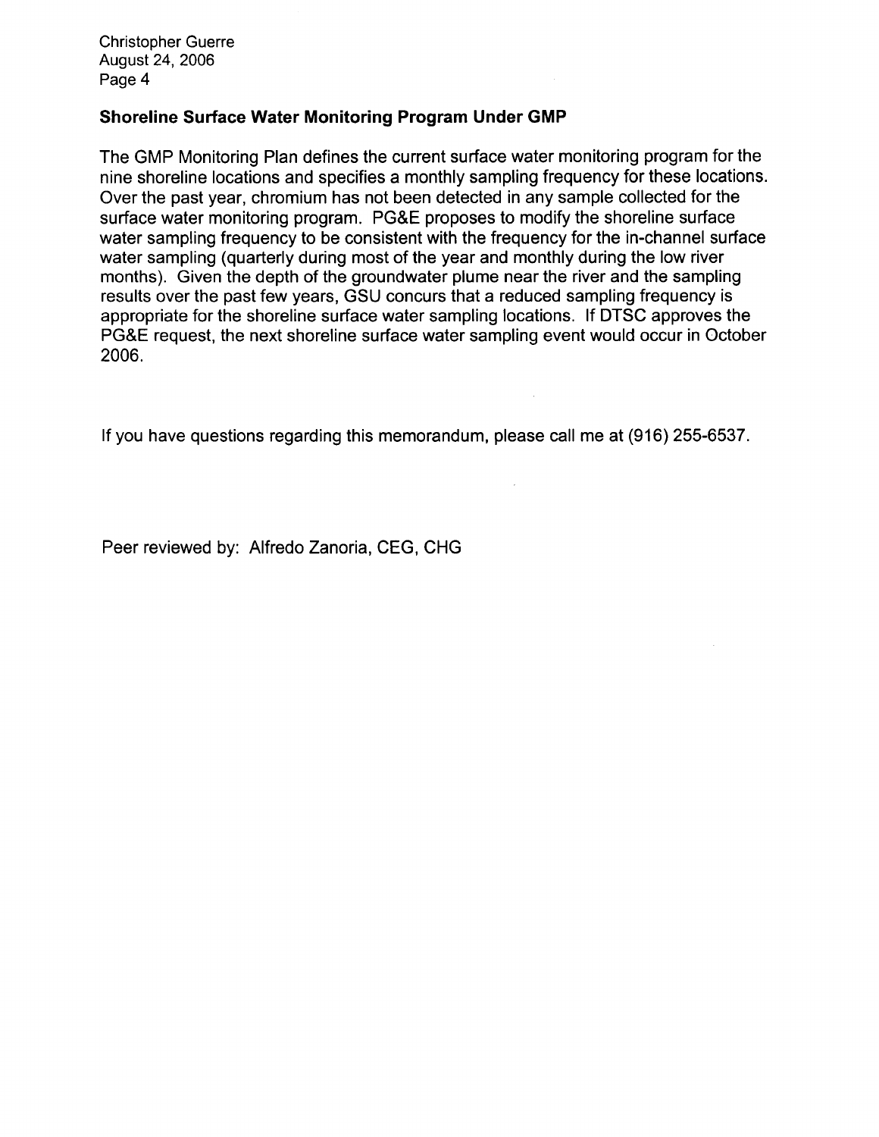**Christopher Guerre** August 24, 2006 Page 4

### Shoreline Surface Water Monitoring Program Under GMP

The GMP Monitoring Plan defines the current surface water monitoring program for the nine shoreline locations and specifies a monthly sampling frequency for these locations. Over the past year, chromium has not been detected in any sample collected for the surface water monitoring program. PG&E proposes to modify the shoreline surface water sampling frequency to be consistent with the frequency for the in-channel surface water sampling (quarterly during most of the year and monthly during the low river months). Given the depth of the groundwater plume near the river and the sampling results over the past few years, GSU concurs that a reduced sampling frequency is appropriate for the shoreline surface water sampling locations. If DTSC approves the PG&E request, the next shoreline surface water sampling event would occur in October 2006.

If you have questions regarding this memorandum, please call me at (916) 255-6537.

 $\mathcal{L}$ 

Peer reviewed by: Alfredo Zanoria, CEG, CHG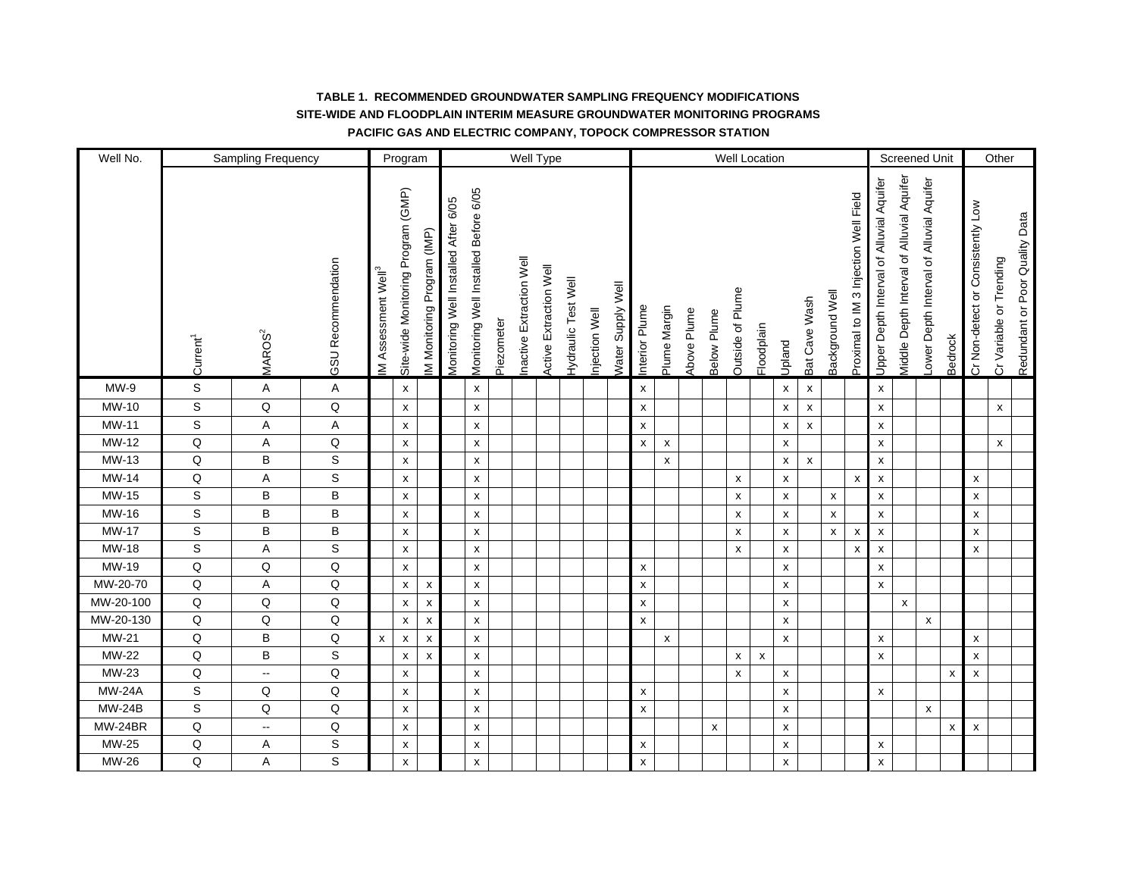| Well No.      |                      | Sampling Frequency |                    |                                | Program                            |                            |                                      |                                       |            |                         | Well Type              |                            |               |                          |                    |                    |             |             | Well Location           |                    |                    |                    |                    |                                       |                                          |                                            | <b>Screened Unit</b>                    |                |                                   | Other                   |                                |
|---------------|----------------------|--------------------|--------------------|--------------------------------|------------------------------------|----------------------------|--------------------------------------|---------------------------------------|------------|-------------------------|------------------------|----------------------------|---------------|--------------------------|--------------------|--------------------|-------------|-------------|-------------------------|--------------------|--------------------|--------------------|--------------------|---------------------------------------|------------------------------------------|--------------------------------------------|-----------------------------------------|----------------|-----------------------------------|-------------------------|--------------------------------|
|               | Current <sup>1</sup> | MAROS <sup>2</sup> | GSU Recommendation | M Assessment Well <sup>3</sup> | Site-wide Monitoring Program (GMP) | M Monitoring Program (IMP) | Monitoring Well Installed After 6/05 | Monitoring Well Installed Before 6/05 | Piezometer | nactive Extraction Well | Active Extraction Well | <b>Hydraulic Test Well</b> | njection Well | <b>Nater Supply Well</b> | Interior Plume     | Plume Margin       | Above Plume | Below Plume | <b>Dutside of Plume</b> | Floodplain         | Upland             | Bat Cave Wash      | Background Well    | Proximal to IM 3 Injection Well Field | Upper Depth Interval of Alluvial Aquifer | Viiddle Depth Interval of Alluvial Aquifer | ower Depth Interval of Alluvial Aquifer | Bedrock        | Cr Non-detect or Consistently Low | Cr Variable or Trending | Redundant or Poor Quality Data |
| $MW-9$        | S                    | Α                  | Α                  |                                | X                                  |                            |                                      | X                                     |            |                         |                        |                            |               |                          | X                  |                    |             |             |                         |                    | $\pmb{\mathsf{x}}$ | $\pmb{\mathsf{x}}$ |                    |                                       | X                                        |                                            |                                         |                |                                   |                         |                                |
| MW-10         | $\mathsf S$          | $\mathsf Q$        | $\mathsf Q$        |                                | X                                  |                            |                                      | $\pmb{\mathsf{X}}$                    |            |                         |                        |                            |               |                          | $\pmb{\mathsf{X}}$ |                    |             |             |                         |                    | $\pmb{\mathsf{x}}$ | $\pmb{\mathsf{x}}$ |                    |                                       | $\pmb{\chi}$                             |                                            |                                         |                |                                   | $\pmb{\mathsf{x}}$      |                                |
| MW-11         | $\mathsf S$          | Α                  | Α                  |                                | $\boldsymbol{\mathsf{x}}$          |                            |                                      | $\pmb{\mathsf{X}}$                    |            |                         |                        |                            |               |                          | $\pmb{\times}$     |                    |             |             |                         |                    | $\pmb{\mathsf{x}}$ | $\pmb{\times}$     |                    |                                       | X                                        |                                            |                                         |                |                                   |                         |                                |
| MW-12         | Q                    | Α                  | $\mathsf Q$        |                                | X                                  |                            |                                      | X                                     |            |                         |                        |                            |               |                          | $\pmb{\mathsf{x}}$ | $\pmb{\mathsf{x}}$ |             |             |                         |                    | $\pmb{\chi}$       |                    |                    |                                       | $\pmb{\mathsf{x}}$                       |                                            |                                         |                |                                   | $\pmb{\mathsf{x}}$      |                                |
| MW-13         | Q                    | B                  | S                  |                                | X                                  |                            |                                      | x                                     |            |                         |                        |                            |               |                          |                    | X                  |             |             |                         |                    | $\pmb{\mathsf{X}}$ | $\pmb{\mathsf{X}}$ |                    |                                       | x                                        |                                            |                                         |                |                                   |                         |                                |
| MW-14         | Q                    | Α                  | S                  |                                | $\pmb{\mathsf{x}}$                 |                            |                                      | $\pmb{\mathsf{X}}$                    |            |                         |                        |                            |               |                          |                    |                    |             |             | $\pmb{\times}$          |                    | $\pmb{\mathsf{x}}$ |                    |                    | $\boldsymbol{\mathsf{x}}$             | $\pmb{\mathsf{x}}$                       |                                            |                                         |                | x                                 |                         |                                |
| MW-15         | $\mathsf S$          | $\sf B$            | B                  |                                | $\pmb{\mathsf{x}}$                 |                            |                                      | $\pmb{\mathsf{x}}$                    |            |                         |                        |                            |               |                          |                    |                    |             |             | $\pmb{\times}$          |                    | $\pmb{\mathsf{x}}$ |                    | $\pmb{\mathsf{x}}$ |                                       | $\pmb{\chi}$                             |                                            |                                         |                | X                                 |                         |                                |
| MW-16         | $\mathsf S$          | B                  | B                  |                                | X                                  |                            |                                      | x                                     |            |                         |                        |                            |               |                          |                    |                    |             |             | X                       |                    | $\pmb{\mathsf{x}}$ |                    | $\pmb{\mathsf{x}}$ |                                       | $\pmb{\mathsf{x}}$                       |                                            |                                         |                | x                                 |                         |                                |
| <b>MW-17</b>  | $\mathsf S$          | B                  | B                  |                                | x                                  |                            |                                      | x                                     |            |                         |                        |                            |               |                          |                    |                    |             |             | x                       |                    | $\pmb{\chi}$       |                    | X                  | $\pmb{\times}$                        | X                                        |                                            |                                         |                | x                                 |                         |                                |
| MW-18         | $\mathbb S$          | Α                  | $\mathsf S$        |                                | X                                  |                            |                                      | $\pmb{\mathsf{x}}$                    |            |                         |                        |                            |               |                          |                    |                    |             |             | X                       |                    | $\pmb{\mathsf{x}}$ |                    |                    | $\boldsymbol{\mathsf{x}}$             | X                                        |                                            |                                         |                | x                                 |                         |                                |
| MW-19         | Q                    | Q                  | $\mathsf Q$        |                                | X                                  |                            |                                      | x                                     |            |                         |                        |                            |               |                          | $\pmb{\mathsf{x}}$ |                    |             |             |                         |                    | $\pmb{\mathsf{x}}$ |                    |                    |                                       | $\pmb{\mathsf{x}}$                       |                                            |                                         |                |                                   |                         |                                |
| MW-20-70      | $\mathsf Q$          | A                  | $\mathsf Q$        |                                | $\pmb{\mathsf{x}}$                 | $\pmb{\times}$             |                                      | X                                     |            |                         |                        |                            |               |                          | $\pmb{\mathsf{X}}$ |                    |             |             |                         |                    | $\pmb{\mathsf{x}}$ |                    |                    |                                       | X                                        |                                            |                                         |                |                                   |                         |                                |
| MW-20-100     | $\mathsf Q$          | Q                  | $\mathsf Q$        |                                | $\pmb{\mathsf{x}}$                 | $\pmb{\times}$             |                                      | $\pmb{\mathsf{x}}$                    |            |                         |                        |                            |               |                          | $\pmb{\mathsf{x}}$ |                    |             |             |                         |                    | $\pmb{\mathsf{x}}$ |                    |                    |                                       |                                          | $\pmb{\mathsf{x}}$                         |                                         |                |                                   |                         |                                |
| MW-20-130     | $\mathsf Q$          | Q                  | $\mathsf Q$        |                                | $\pmb{\mathsf{x}}$                 | $\pmb{\times}$             |                                      | $\pmb{\mathsf{X}}$                    |            |                         |                        |                            |               |                          | $\pmb{\mathsf{x}}$ |                    |             |             |                         |                    | $\pmb{\mathsf{x}}$ |                    |                    |                                       |                                          |                                            | X                                       |                |                                   |                         |                                |
| MW-21         | Q                    | B                  | $\mathsf Q$        | $\pmb{\chi}$                   | x                                  | X                          |                                      | X                                     |            |                         |                        |                            |               |                          |                    | X                  |             |             |                         |                    | $\pmb{\chi}$       |                    |                    |                                       | $\pmb{\mathsf{x}}$                       |                                            |                                         |                | x                                 |                         |                                |
| MW-22         | $\mathsf Q$          | В                  | $\mathbb S$        |                                | X                                  | x                          |                                      | x                                     |            |                         |                        |                            |               |                          |                    |                    |             |             | x                       | $\pmb{\mathsf{x}}$ |                    |                    |                    |                                       | x                                        |                                            |                                         |                | x                                 |                         |                                |
| MW-23         | $\mathsf Q$          | Ξ.                 | $\sf Q$            |                                | $\pmb{\mathsf{x}}$                 |                            |                                      | $\pmb{\mathsf{x}}$                    |            |                         |                        |                            |               |                          |                    |                    |             |             | $\pmb{\mathsf{x}}$      |                    | $\pmb{\mathsf{x}}$ |                    |                    |                                       |                                          |                                            |                                         | $\pmb{\times}$ | X                                 |                         |                                |
| <b>MW-24A</b> | $\mathsf S$          | $\sf Q$            | $\mathsf Q$        |                                | $\pmb{\mathsf{x}}$                 |                            |                                      | $\pmb{\mathsf{x}}$                    |            |                         |                        |                            |               |                          | $\pmb{\mathsf{x}}$ |                    |             |             |                         |                    | $\pmb{\mathsf{x}}$ |                    |                    |                                       | $\pmb{\mathsf{x}}$                       |                                            |                                         |                |                                   |                         |                                |
| <b>MW-24B</b> | $\mathsf S$          | Q                  | Q                  |                                | X                                  |                            |                                      | X                                     |            |                         |                        |                            |               |                          | $\pmb{\mathsf{x}}$ |                    |             |             |                         |                    | X                  |                    |                    |                                       |                                          |                                            | $\pmb{\mathsf{x}}$                      |                |                                   |                         |                                |
| MW-24BR       | Q                    | н.                 | $\mathsf Q$        |                                | X                                  |                            |                                      | x                                     |            |                         |                        |                            |               |                          |                    |                    |             | X           |                         |                    | X                  |                    |                    |                                       |                                          |                                            |                                         | X              | X                                 |                         |                                |
| MW-25         | Q                    | Α                  | $\mathbb S$        |                                | X                                  |                            |                                      | X                                     |            |                         |                        |                            |               |                          | X                  |                    |             |             |                         |                    | $\pmb{\mathsf{x}}$ |                    |                    |                                       | $\pmb{\mathsf{x}}$                       |                                            |                                         |                |                                   |                         |                                |
| MW-26         | Q                    | Α                  | S                  |                                | $\pmb{\mathsf{x}}$                 |                            |                                      | $\pmb{\mathsf{x}}$                    |            |                         |                        |                            |               |                          | $\pmb{\mathsf{X}}$ |                    |             |             |                         |                    | $\pmb{\mathsf{x}}$ |                    |                    |                                       | $\pmb{\mathsf{x}}$                       |                                            |                                         |                |                                   |                         |                                |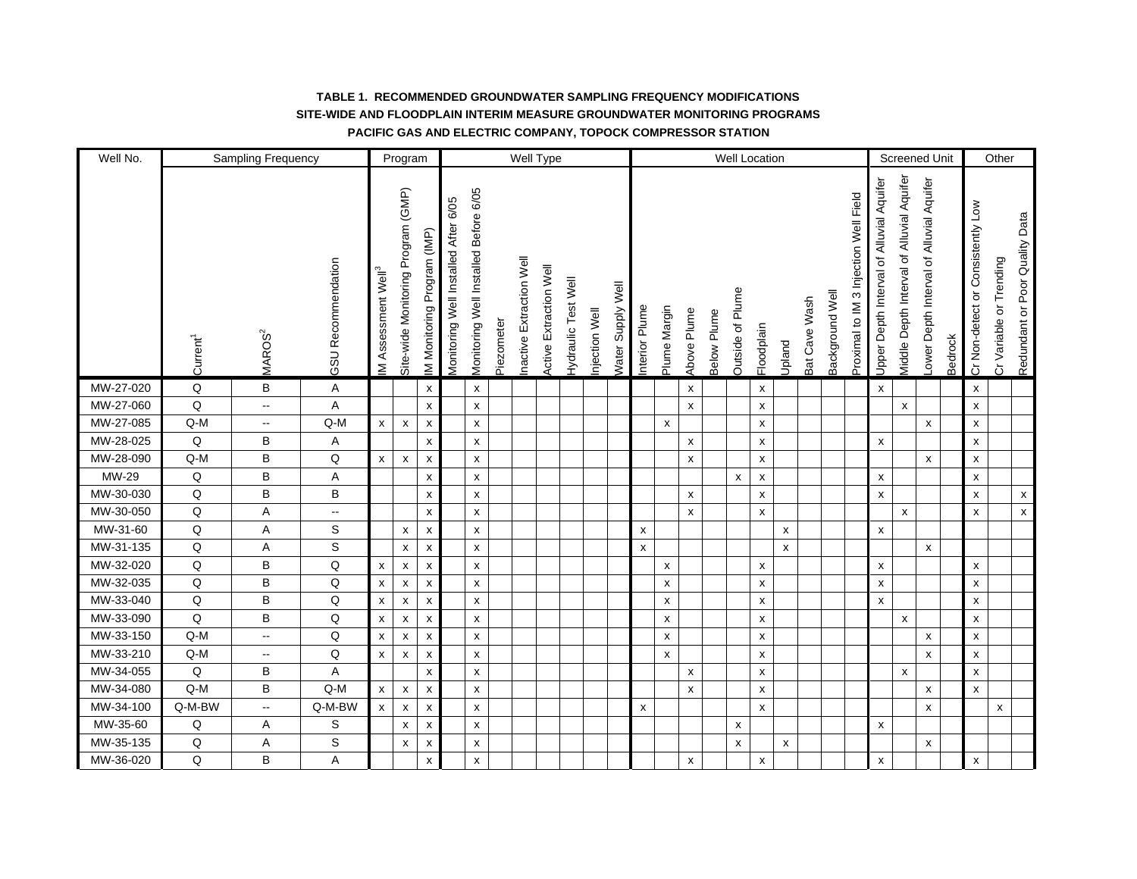| Well No.  |                      | Sampling Frequency       |                           |                                | Program                            |                            |                                      |                                       |            |                         | Well Type                     |                            |               |                          |                    |                    |                    |                    |                           | Well Location      |                    |               |                 |                                       |                                          | <b>Screened Unit</b>                      |                                         |         |                                   | Other                   |                                |
|-----------|----------------------|--------------------------|---------------------------|--------------------------------|------------------------------------|----------------------------|--------------------------------------|---------------------------------------|------------|-------------------------|-------------------------------|----------------------------|---------------|--------------------------|--------------------|--------------------|--------------------|--------------------|---------------------------|--------------------|--------------------|---------------|-----------------|---------------------------------------|------------------------------------------|-------------------------------------------|-----------------------------------------|---------|-----------------------------------|-------------------------|--------------------------------|
|           | Current <sup>1</sup> | MAROS <sup>2</sup>       | <b>GSU Recommendation</b> | M Assessment Well <sup>3</sup> | Site-wide Monitoring Program (GMP) | M Monitoring Program (IMP) | Monitoring Well Installed After 6/05 | Monitoring Well Installed Before 6/05 | Piezometer | nactive Extraction Well | <b>Active Extraction Well</b> | <b>Hydraulic Test Well</b> | njection Well | <b>Nater Supply Well</b> | nterior Plume      | Plume Margin       | Above Plume        | <b>Below Plume</b> | <b>Outside of Plume</b>   | Floodplain         | Upland             | Bat Cave Wash | Background Well | Proximal to IM 3 Injection Well Field | Jpper Depth Interval of Alluvial Aquifer | Viddle Depth Interval of Alluvial Aquifer | ower Depth Interval of Alluvial Aquifer | Bedrock | Cr Non-detect or Consistently Low | Cr Variable or Trending | Redundant or Poor Quality Data |
| MW-27-020 | Q                    | B                        | Α                         |                                |                                    | X                          |                                      | X                                     |            |                         |                               |                            |               |                          |                    |                    | X                  |                    |                           | X                  |                    |               |                 |                                       | X                                        |                                           |                                         |         | x                                 |                         |                                |
| MW-27-060 | $\mathsf Q$          | $\overline{\phantom{a}}$ | Α                         |                                |                                    | X                          |                                      | X                                     |            |                         |                               |                            |               |                          |                    |                    | $\mathsf{x}$       |                    |                           | $\pmb{\mathsf{x}}$ |                    |               |                 |                                       |                                          | $\pmb{\chi}$                              |                                         |         | x                                 |                         |                                |
| MW-27-085 | $Q-M$                | $\overline{\phantom{a}}$ | $Q-M$                     | $\pmb{\mathsf{x}}$             | $\pmb{\mathsf{x}}$                 | $\pmb{\chi}$               |                                      | $\pmb{\mathsf{X}}$                    |            |                         |                               |                            |               |                          |                    | $\pmb{\mathsf{x}}$ |                    |                    |                           | X                  |                    |               |                 |                                       |                                          |                                           | X                                       |         | X                                 |                         |                                |
| MW-28-025 | Q                    | B                        | Α                         |                                |                                    | X                          |                                      | $\pmb{\times}$                        |            |                         |                               |                            |               |                          |                    |                    | $\pmb{\chi}$       |                    |                           | X                  |                    |               |                 |                                       | $\mathsf{x}$                             |                                           |                                         |         | x                                 |                         |                                |
| MW-28-090 | $Q-M$                | B                        | Q                         | $\pmb{\mathsf{x}}$             | X                                  | X                          |                                      | x                                     |            |                         |                               |                            |               |                          |                    |                    | X                  |                    |                           | X                  |                    |               |                 |                                       |                                          |                                           | x                                       |         | x                                 |                         |                                |
| MW-29     | Q                    | B                        | Α                         |                                |                                    | $\pmb{\times}$             |                                      | X                                     |            |                         |                               |                            |               |                          |                    |                    |                    |                    | X                         | $\pmb{\mathsf{X}}$ |                    |               |                 |                                       | X                                        |                                           |                                         |         | x                                 |                         |                                |
| MW-30-030 | Q                    | B                        | B                         |                                |                                    | X                          |                                      | $\pmb{\mathsf{x}}$                    |            |                         |                               |                            |               |                          |                    |                    | X                  |                    |                           | $\pmb{\mathsf{x}}$ |                    |               |                 |                                       | $\pmb{\chi}$                             |                                           |                                         |         | x                                 |                         | $\mathsf{x}$                   |
| MW-30-050 | Q                    | A                        | н.                        |                                |                                    | X                          |                                      | $\pmb{\mathsf{x}}$                    |            |                         |                               |                            |               |                          |                    |                    | $\mathsf{x}$       |                    |                           | $\pmb{\mathsf{x}}$ |                    |               |                 |                                       |                                          | $\pmb{\chi}$                              |                                         |         | x                                 |                         | $\pmb{\chi}$                   |
| MW-31-60  | Q                    | Α                        | S                         |                                | X                                  | x                          |                                      | x                                     |            |                         |                               |                            |               |                          | X                  |                    |                    |                    |                           |                    | X                  |               |                 |                                       | X                                        |                                           |                                         |         |                                   |                         |                                |
| MW-31-135 | Q                    | Α                        | S                         |                                | X                                  | $\pmb{\times}$             |                                      | $\pmb{\mathsf{X}}$                    |            |                         |                               |                            |               |                          | x                  |                    |                    |                    |                           |                    | $\pmb{\mathsf{x}}$ |               |                 |                                       |                                          |                                           | X                                       |         |                                   |                         |                                |
| MW-32-020 | $\mathsf Q$          | В                        | $\sf Q$                   | $\pmb{\mathsf{x}}$             | $\pmb{\mathsf{x}}$                 | X                          |                                      | $\pmb{\mathsf{x}}$                    |            |                         |                               |                            |               |                          |                    | X                  |                    |                    |                           | X                  |                    |               |                 |                                       | $\pmb{\mathsf{x}}$                       |                                           |                                         |         | x                                 |                         |                                |
| MW-32-035 | Q                    | B                        | $\mathsf Q$               | $\pmb{\chi}$                   | X                                  | x                          |                                      | X                                     |            |                         |                               |                            |               |                          |                    | $\pmb{\mathsf{x}}$ |                    |                    |                           | X                  |                    |               |                 |                                       | X                                        |                                           |                                         |         | x                                 |                         |                                |
| MW-33-040 | Q                    | B                        | Q                         | $\pmb{\chi}$                   | X                                  | x                          |                                      | x                                     |            |                         |                               |                            |               |                          |                    | X                  |                    |                    |                           | x                  |                    |               |                 |                                       | $\mathsf{x}$                             |                                           |                                         |         | x                                 |                         |                                |
| MW-33-090 | Q                    | В                        | Q                         | $\pmb{\times}$                 | $\pmb{\mathsf{x}}$                 | $\pmb{\times}$             |                                      | $\pmb{\mathsf{X}}$                    |            |                         |                               |                            |               |                          |                    | X                  |                    |                    |                           | X                  |                    |               |                 |                                       |                                          | $\pmb{\chi}$                              |                                         |         | x                                 |                         |                                |
| MW-33-150 | $Q-M$                | $\sim$                   | $\mathsf Q$               | $\pmb{\times}$                 | $\pmb{\mathsf{x}}$                 | X                          |                                      | $\pmb{\mathsf{x}}$                    |            |                         |                               |                            |               |                          |                    | $\pmb{\mathsf{x}}$ |                    |                    |                           | $\pmb{\mathsf{x}}$ |                    |               |                 |                                       |                                          |                                           | X                                       |         | x                                 |                         |                                |
| MW-33-210 | Q-M                  | н.                       | $\mathsf Q$               | $\pmb{\chi}$                   | X                                  | x                          |                                      | x                                     |            |                         |                               |                            |               |                          |                    | X                  |                    |                    |                           | X                  |                    |               |                 |                                       |                                          |                                           | X                                       |         | x                                 |                         |                                |
| MW-34-055 | Q                    | В                        | A                         |                                |                                    | x                          |                                      | X                                     |            |                         |                               |                            |               |                          |                    |                    | $\mathsf{x}$       |                    |                           | X                  |                    |               |                 |                                       |                                          | $\pmb{\chi}$                              |                                         |         | x                                 |                         |                                |
| MW-34-080 | $Q-M$                | B                        | $Q-M$                     | $\pmb{\mathsf{x}}$             | $\pmb{\mathsf{x}}$                 | $\pmb{\times}$             |                                      | $\pmb{\mathsf{X}}$                    |            |                         |                               |                            |               |                          |                    |                    | $\pmb{\chi}$       |                    |                           | $\pmb{\mathsf{x}}$ |                    |               |                 |                                       |                                          |                                           | X                                       |         | X                                 |                         |                                |
| MW-34-100 | Q-M-BW               | щ,                       | Q-M-BW                    | $\pmb{\mathsf{x}}$             | $\pmb{\mathsf{x}}$                 | $\pmb{\times}$             |                                      | $\pmb{\mathsf{X}}$                    |            |                         |                               |                            |               |                          | $\pmb{\mathsf{x}}$ |                    |                    |                    |                           | $\pmb{\mathsf{x}}$ |                    |               |                 |                                       |                                          |                                           | X                                       |         |                                   | $\pmb{\mathsf{x}}$      |                                |
| MW-35-60  | Q                    | Α                        | S                         |                                | X                                  | X                          |                                      | x                                     |            |                         |                               |                            |               |                          |                    |                    |                    |                    | $\boldsymbol{\mathsf{x}}$ |                    |                    |               |                 |                                       | X                                        |                                           |                                         |         |                                   |                         |                                |
| MW-35-135 | Q                    | Α                        | S                         |                                | X                                  | X                          |                                      | X                                     |            |                         |                               |                            |               |                          |                    |                    |                    |                    | X                         |                    | $\pmb{\mathsf{x}}$ |               |                 |                                       |                                          |                                           | X                                       |         |                                   |                         |                                |
| MW-36-020 | Q                    | B                        | Α                         |                                |                                    | $\pmb{\mathsf{x}}$         |                                      | $\pmb{\mathsf{x}}$                    |            |                         |                               |                            |               |                          |                    |                    | $\pmb{\mathsf{x}}$ |                    |                           | $\pmb{\mathsf{x}}$ |                    |               |                 |                                       | $\pmb{\times}$                           |                                           |                                         |         | x                                 |                         |                                |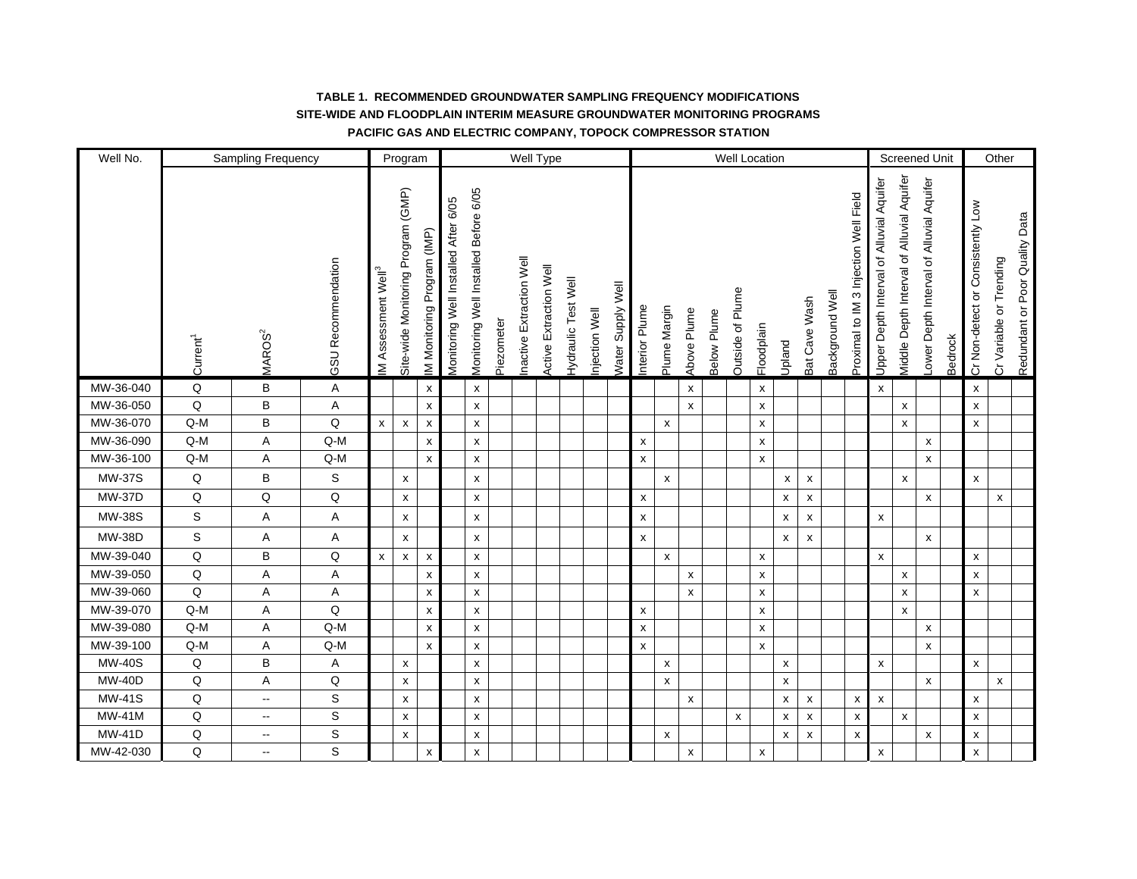| Well No.      |                                | Sampling Frequency       |                    |                                 | Program                            |                             |                                      |                                       |            |                         | Well Type              |                     |               |                   |                    |                    |                    |             |                  | Well Location      |                    |                           |                 |                                       |                                          |                                           | <b>Screened Unit</b>                    |         |                                   | Other                   |                                |
|---------------|--------------------------------|--------------------------|--------------------|---------------------------------|------------------------------------|-----------------------------|--------------------------------------|---------------------------------------|------------|-------------------------|------------------------|---------------------|---------------|-------------------|--------------------|--------------------|--------------------|-------------|------------------|--------------------|--------------------|---------------------------|-----------------|---------------------------------------|------------------------------------------|-------------------------------------------|-----------------------------------------|---------|-----------------------------------|-------------------------|--------------------------------|
|               | Current <sup>1</sup>           | MAROS <sup>2</sup>       | GSU Recommendation | IM Assessment Well <sup>3</sup> | Site-wide Monitoring Program (GMP) | IM Monitoring Program (IMP) | Monitoring Well Installed After 6/05 | Monitoring Well Installed Before 6/05 | Piezometer | nactive Extraction Well | Active Extraction Well | Hydraulic Test Well | njection Well | Water Supply Well | nterior Plume      | Plume Margin       | Above Plume        | Below Plume | Outside of Plume | Floodplain         | Upland             | Bat Cave Wash             | Background Well | Proximal to IM 3 Injection Well Field | Upper Depth Interval of Alluvial Aquifer | Viddle Depth Interval of Alluvial Aquifer | ower Depth Interval of Alluvial Aquifer | Bedrock | Cr Non-detect or Consistently Low | Cr Variable or Trending | Redundant or Poor Quality Data |
| MW-36-040     | Q                              | В                        | Α                  |                                 |                                    | X                           |                                      | X                                     |            |                         |                        |                     |               |                   |                    |                    | X                  |             |                  | $\pmb{\mathsf{x}}$ |                    |                           |                 |                                       | $\pmb{\mathsf{x}}$                       |                                           |                                         |         | X                                 |                         |                                |
| MW-36-050     | Q                              | B                        | A                  |                                 |                                    | X                           |                                      | X                                     |            |                         |                        |                     |               |                   |                    |                    | X                  |             |                  | X                  |                    |                           |                 |                                       |                                          | X                                         |                                         |         | x                                 |                         |                                |
| MW-36-070     | $Q-M$                          | B                        | $\mathsf Q$        | $\pmb{\mathsf{x}}$              | $\pmb{\times}$                     | $\pmb{\chi}$                |                                      | X                                     |            |                         |                        |                     |               |                   |                    | $\pmb{\mathsf{x}}$ |                    |             |                  | x                  |                    |                           |                 |                                       |                                          | $\pmb{\chi}$                              |                                         |         | x                                 |                         |                                |
| MW-36-090     | $Q-M$                          | A                        | $Q-M$              |                                 |                                    | $\pmb{\chi}$                |                                      | X                                     |            |                         |                        |                     |               |                   | $\pmb{\mathsf{x}}$ |                    |                    |             |                  | X                  |                    |                           |                 |                                       |                                          |                                           | X                                       |         |                                   |                         |                                |
| MW-36-100     | $Q-M$                          | A                        | $Q-M$              |                                 |                                    | X                           |                                      | $\pmb{\mathsf{x}}$                    |            |                         |                        |                     |               |                   | X                  |                    |                    |             |                  | x                  |                    |                           |                 |                                       |                                          |                                           | X                                       |         |                                   |                         |                                |
| <b>MW-37S</b> | $\mathsf Q$                    | $\sf B$                  | S                  |                                 | x                                  |                             |                                      | X                                     |            |                         |                        |                     |               |                   |                    | $\pmb{\mathsf{x}}$ |                    |             |                  |                    | $\pmb{\mathsf{x}}$ | $\pmb{\mathsf{x}}$        |                 |                                       |                                          | $\pmb{\chi}$                              |                                         |         | X                                 |                         |                                |
| <b>MW-37D</b> | $\mathsf Q$                    | Q                        | Q                  |                                 | x                                  |                             |                                      | $\pmb{\mathsf{x}}$                    |            |                         |                        |                     |               |                   | $\pmb{\mathsf{x}}$ |                    |                    |             |                  |                    | $\pmb{\chi}$       | $\pmb{\mathsf{x}}$        |                 |                                       |                                          |                                           | $\pmb{\mathsf{x}}$                      |         |                                   | $\pmb{\mathsf{x}}$      |                                |
| <b>MW-38S</b> | S                              | A                        | A                  |                                 | x                                  |                             |                                      | X                                     |            |                         |                        |                     |               |                   | X                  |                    |                    |             |                  |                    | $\pmb{\mathsf{x}}$ | x                         |                 |                                       | $\pmb{\mathsf{X}}$                       |                                           |                                         |         |                                   |                         |                                |
| <b>MW-38D</b> | S                              | Α                        | А                  |                                 | X                                  |                             |                                      | X                                     |            |                         |                        |                     |               |                   | $\pmb{\mathsf{x}}$ |                    |                    |             |                  |                    | $\pmb{\chi}$       | $\boldsymbol{\mathsf{x}}$ |                 |                                       |                                          |                                           | X                                       |         |                                   |                         |                                |
| MW-39-040     | $\mathsf Q$                    | $\sf B$                  | Q                  | X                               | X                                  | $\pmb{\chi}$                |                                      | $\pmb{\mathsf{x}}$                    |            |                         |                        |                     |               |                   |                    | $\pmb{\mathsf{X}}$ |                    |             |                  | $\pmb{\mathsf{x}}$ |                    |                           |                 |                                       | $\pmb{\mathsf{X}}$                       |                                           |                                         |         | X                                 |                         |                                |
| MW-39-050     | $\mathsf Q$                    | A                        | A                  |                                 |                                    | X                           |                                      | X                                     |            |                         |                        |                     |               |                   |                    |                    | $\pmb{\chi}$       |             |                  | X                  |                    |                           |                 |                                       |                                          | X                                         |                                         |         | x                                 |                         |                                |
| MW-39-060     | $\mathsf Q$                    | Α                        | Α                  |                                 |                                    | X                           |                                      | X                                     |            |                         |                        |                     |               |                   |                    |                    | X                  |             |                  | X                  |                    |                           |                 |                                       |                                          | x                                         |                                         |         | X                                 |                         |                                |
| MW-39-070     | $Q-M$                          | Α                        | Q                  |                                 |                                    | X                           |                                      | $\pmb{\mathsf{x}}$                    |            |                         |                        |                     |               |                   | X                  |                    |                    |             |                  | $\pmb{\times}$     |                    |                           |                 |                                       |                                          | $\pmb{\mathsf{x}}$                        |                                         |         |                                   |                         |                                |
| MW-39-080     | $\mathsf{Q}\text{-}\mathsf{M}$ | Α                        | Q-M                |                                 |                                    | X                           |                                      | $\pmb{\mathsf{x}}$                    |            |                         |                        |                     |               |                   | $\pmb{\mathsf{x}}$ |                    |                    |             |                  | $\pmb{\times}$     |                    |                           |                 |                                       |                                          |                                           | X                                       |         |                                   |                         |                                |
| MW-39-100     | $\mathsf{Q}\text{-}\mathsf{M}$ | Α                        | $Q-M$              |                                 |                                    | X                           |                                      | X                                     |            |                         |                        |                     |               |                   | X                  |                    |                    |             |                  | $\pmb{\times}$     |                    |                           |                 |                                       |                                          |                                           | X                                       |         |                                   |                         |                                |
| <b>MW-40S</b> | $\mathsf Q$                    | $\sf B$                  | A                  |                                 | $\pmb{\mathsf{X}}$                 |                             |                                      | X                                     |            |                         |                        |                     |               |                   |                    | $\pmb{\mathsf{x}}$ |                    |             |                  |                    | X                  |                           |                 |                                       | $\pmb{\mathsf{X}}$                       |                                           |                                         |         | $\pmb{\mathsf{x}}$                |                         |                                |
| <b>MW-40D</b> | Q                              | A                        | $\sf Q$            |                                 | X                                  |                             |                                      | X                                     |            |                         |                        |                     |               |                   |                    | $\pmb{\mathsf{x}}$ |                    |             |                  |                    | $\pmb{\chi}$       |                           |                 |                                       |                                          |                                           | $\pmb{\mathsf{x}}$                      |         |                                   | $\pmb{\mathsf{x}}$      |                                |
| <b>MW-41S</b> | $\mathsf Q$                    | $\sim$                   | S                  |                                 | x                                  |                             |                                      | x                                     |            |                         |                        |                     |               |                   |                    |                    | X                  |             |                  |                    | X                  | $\pmb{\mathsf{x}}$        |                 | $\boldsymbol{\mathsf{x}}$             | $\mathsf{x}$                             |                                           |                                         |         | x                                 |                         |                                |
| MW-41M        | Q                              | $\sim$                   | S                  |                                 | $\pmb{\mathsf{x}}$                 |                             |                                      | $\pmb{\mathsf{x}}$                    |            |                         |                        |                     |               |                   |                    |                    |                    |             | X                |                    | $\pmb{\mathsf{x}}$ | $\pmb{\mathsf{x}}$        |                 | $\pmb{\mathsf{x}}$                    |                                          | $\boldsymbol{\mathsf{x}}$                 |                                         |         | $\pmb{\mathsf{x}}$                |                         |                                |
| <b>MW-41D</b> | Q                              | $\sim$                   | S                  |                                 | x                                  |                             |                                      | $\pmb{\mathsf{x}}$                    |            |                         |                        |                     |               |                   |                    | $\pmb{\mathsf{x}}$ |                    |             |                  |                    | $\pmb{\times}$     | $\pmb{\mathsf{x}}$        |                 | $\pmb{\mathsf{x}}$                    |                                          |                                           | $\pmb{\mathsf{x}}$                      |         | X                                 |                         |                                |
| MW-42-030     | Q                              | $\overline{\phantom{a}}$ | S                  |                                 |                                    | X                           |                                      | X                                     |            |                         |                        |                     |               |                   |                    |                    | $\pmb{\mathsf{x}}$ |             |                  | X                  |                    |                           |                 |                                       | $\pmb{\mathsf{x}}$                       |                                           |                                         |         | $\pmb{\mathsf{x}}$                |                         |                                |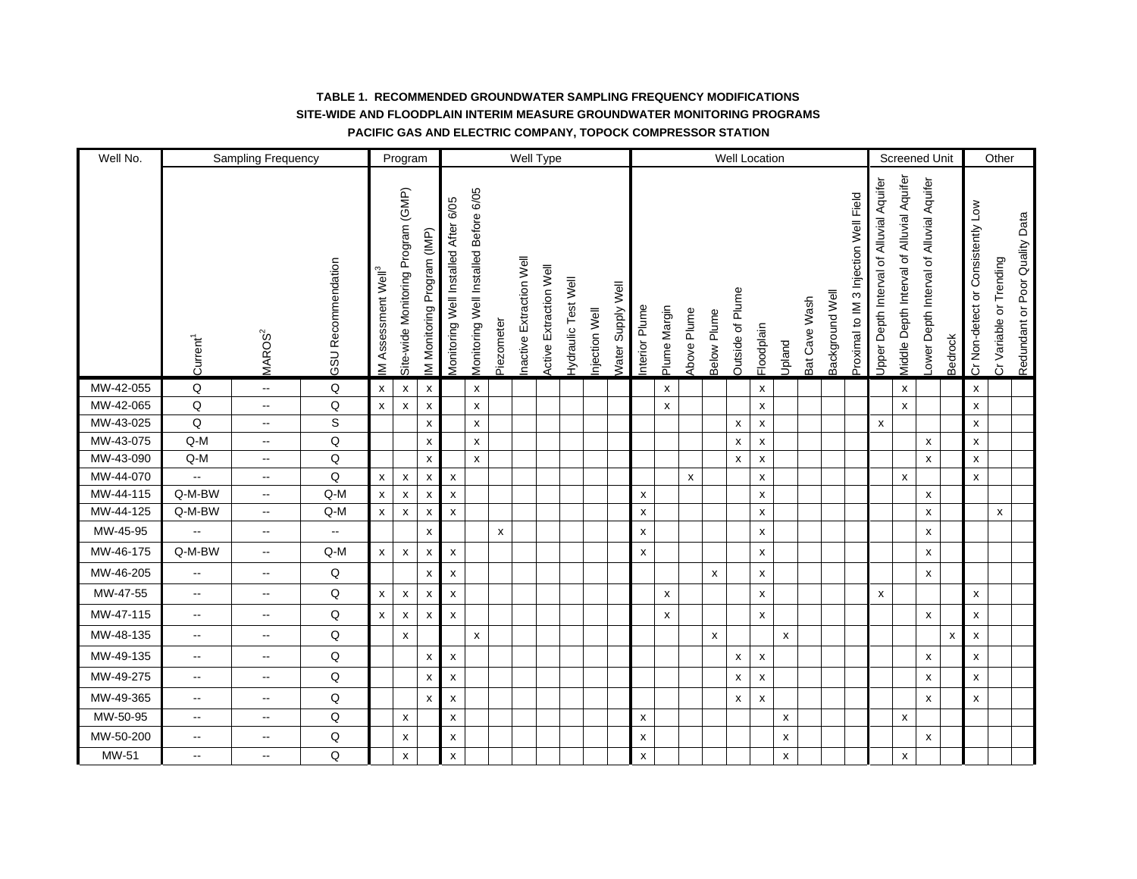| Well No.  |                          | Sampling Frequency       |                    |                                | Program                            |                            |                                      |                                       |                    |                         | Well Type              |                            |               |                          |                    |                    |             |              |                         | Well Location      |                           |               |                 |                                       |                                          |                                            | <b>Screened Unit</b>                    |                    |                                   | Other                   |                                |
|-----------|--------------------------|--------------------------|--------------------|--------------------------------|------------------------------------|----------------------------|--------------------------------------|---------------------------------------|--------------------|-------------------------|------------------------|----------------------------|---------------|--------------------------|--------------------|--------------------|-------------|--------------|-------------------------|--------------------|---------------------------|---------------|-----------------|---------------------------------------|------------------------------------------|--------------------------------------------|-----------------------------------------|--------------------|-----------------------------------|-------------------------|--------------------------------|
|           | Current <sup>1</sup>     | MAROS <sup>2</sup>       | GSU Recommendation | M Assessment Well <sup>3</sup> | Site-wide Monitoring Program (GMP) | M Monitoring Program (IMP) | Monitoring Well Installed After 6/05 | Monitoring Well Installed Before 6/05 | Piezometer         | nactive Extraction Well | Active Extraction Well | <b>Hydraulic Test Well</b> | njection Well | <b>Nater Supply Well</b> | nterior Plume      | Plume Margin       | Above Plume | Below Plume  | <b>Dutside of Plume</b> | Floodplain         | Upland                    | Bat Cave Wash | Background Well | Proximal to IM 3 Injection Well Field | Jpper Depth Interval of Alluvial Aquifer | Viiddle Depth Interval of Alluvial Aquifer | ower Depth Interval of Alluvial Aquifer | Bedrock            | Cr Non-detect or Consistently Low | Cr Variable or Trending | Redundant or Poor Quality Data |
| MW-42-055 | $\sf Q$                  | $\sim$                   | Q                  | $\pmb{\times}$                 | $\boldsymbol{\mathsf{x}}$          | X                          |                                      | X                                     |                    |                         |                        |                            |               |                          |                    | $\pmb{\mathsf{x}}$ |             |              |                         | X                  |                           |               |                 |                                       |                                          | $\pmb{\mathsf{x}}$                         |                                         |                    | x                                 |                         |                                |
| MW-42-065 | Q                        | $\overline{\phantom{a}}$ | Q                  | $\pmb{\mathsf{x}}$             | $\boldsymbol{\mathsf{x}}$          | $\pmb{\times}$             |                                      | $\pmb{\mathsf{x}}$                    |                    |                         |                        |                            |               |                          |                    | $\pmb{\mathsf{x}}$ |             |              |                         | $\pmb{\mathsf{x}}$ |                           |               |                 |                                       |                                          | $\pmb{\times}$                             |                                         |                    | x                                 |                         |                                |
| MW-43-025 | Q                        | $\overline{\phantom{a}}$ | S                  |                                |                                    | x                          |                                      | X                                     |                    |                         |                        |                            |               |                          |                    |                    |             |              | x                       | X                  |                           |               |                 |                                       | X                                        |                                            |                                         |                    | x                                 |                         |                                |
| MW-43-075 | $Q-M$                    | $\mathbf{u}$             | Q                  |                                |                                    | $\pmb{\mathsf{x}}$         |                                      | X                                     |                    |                         |                        |                            |               |                          |                    |                    |             |              | X                       | $\pmb{\mathsf{x}}$ |                           |               |                 |                                       |                                          |                                            | X                                       |                    | x                                 |                         |                                |
| MW-43-090 | $Q-M$                    | $\mathbf{u}$             | Q                  |                                |                                    | $\pmb{\mathsf{x}}$         |                                      | X                                     |                    |                         |                        |                            |               |                          |                    |                    |             |              | x                       | $\pmb{\mathsf{x}}$ |                           |               |                 |                                       |                                          |                                            | x                                       |                    | x                                 |                         |                                |
| MW-44-070 | $\overline{\phantom{a}}$ | $\sim$                   | Q                  | $\pmb{\mathsf{x}}$             | $\pmb{\times}$                     | $\pmb{\mathsf{x}}$         | $\pmb{\mathsf{x}}$                   |                                       |                    |                         |                        |                            |               |                          |                    |                    | X           |              |                         | X                  |                           |               |                 |                                       |                                          | $\pmb{\chi}$                               |                                         |                    | x                                 |                         |                                |
| MW-44-115 | Q-M-BW                   | $\overline{\phantom{a}}$ | Q-M                | $\pmb{\mathsf{x}}$             | $\pmb{\times}$                     | $\pmb{\mathsf{x}}$         | $\pmb{\chi}$                         |                                       |                    |                         |                        |                            |               |                          | X                  |                    |             |              |                         | $\pmb{\mathsf{x}}$ |                           |               |                 |                                       |                                          |                                            | X                                       |                    |                                   |                         |                                |
| MW-44-125 | Q-M-BW                   | $\overline{\phantom{a}}$ | $Q$ -M             | $\pmb{\mathsf{x}}$             | $\pmb{\times}$                     | X                          | $\pmb{\chi}$                         |                                       |                    |                         |                        |                            |               |                          | X                  |                    |             |              |                         | $\pmb{\mathsf{x}}$ |                           |               |                 |                                       |                                          |                                            | X                                       |                    |                                   | $\pmb{\mathsf{x}}$      |                                |
| MW-45-95  | Щ,                       | $\sim$                   | щ.                 |                                |                                    | x                          |                                      |                                       | $\pmb{\mathsf{x}}$ |                         |                        |                            |               |                          | $\pmb{\mathsf{x}}$ |                    |             |              |                         | X                  |                           |               |                 |                                       |                                          |                                            | x                                       |                    |                                   |                         |                                |
| MW-46-175 | Q-M-BW                   | $\sim$                   | $Q-M$              | $\pmb{\chi}$                   | $\pmb{\times}$                     | X                          | $\pmb{\chi}$                         |                                       |                    |                         |                        |                            |               |                          | $\pmb{\mathsf{x}}$ |                    |             |              |                         | X                  |                           |               |                 |                                       |                                          |                                            | X                                       |                    |                                   |                         |                                |
| MW-46-205 | $\sim$                   | $\sim$                   | Q                  |                                |                                    | $\pmb{\chi}$               | $\pmb{\chi}$                         |                                       |                    |                         |                        |                            |               |                          |                    |                    |             | $\mathsf{x}$ |                         | X                  |                           |               |                 |                                       |                                          |                                            | X                                       |                    |                                   |                         |                                |
| MW-47-55  | $\sim$                   | $\overline{\phantom{a}}$ | Q                  | $\pmb{\mathsf{x}}$             | $\pmb{\times}$                     | $\pmb{\times}$             | $\pmb{\mathsf{x}}$                   |                                       |                    |                         |                        |                            |               |                          |                    | $\pmb{\mathsf{x}}$ |             |              |                         | $\pmb{\mathsf{x}}$ |                           |               |                 |                                       | $\mathsf{x}$                             |                                            |                                         |                    | x                                 |                         |                                |
| MW-47-115 | $\sim$                   | $\sim$                   | Q                  | $\pmb{\mathsf{x}}$             | $\boldsymbol{\mathsf{x}}$          | $\pmb{\times}$             | $\pmb{\chi}$                         |                                       |                    |                         |                        |                            |               |                          |                    | $\pmb{\mathsf{x}}$ |             |              |                         | $\pmb{\mathsf{x}}$ |                           |               |                 |                                       |                                          |                                            | $\pmb{\mathsf{x}}$                      |                    | x                                 |                         |                                |
| MW-48-135 | $\sim$                   | $\mathbf{u}$             | Q                  |                                | X                                  |                            |                                      | X                                     |                    |                         |                        |                            |               |                          |                    |                    |             | x            |                         |                    | $\pmb{\mathsf{x}}$        |               |                 |                                       |                                          |                                            |                                         | $\pmb{\mathsf{x}}$ | x                                 |                         |                                |
| MW-49-135 | $\overline{\phantom{a}}$ | $\sim$                   | $\mathsf Q$        |                                |                                    | $\pmb{\mathsf{x}}$         | $\pmb{\mathsf{x}}$                   |                                       |                    |                         |                        |                            |               |                          |                    |                    |             |              | X                       | $\pmb{\mathsf{x}}$ |                           |               |                 |                                       |                                          |                                            | X                                       |                    | x                                 |                         |                                |
| MW-49-275 | $\sim$                   | $\overline{\phantom{a}}$ | $\mathsf Q$        |                                |                                    | $\pmb{\mathsf{x}}$         | $\pmb{\chi}$                         |                                       |                    |                         |                        |                            |               |                          |                    |                    |             |              | X                       | X                  |                           |               |                 |                                       |                                          |                                            | X                                       |                    | x                                 |                         |                                |
| MW-49-365 | $\overline{\phantom{a}}$ | $\mathbf{u}$             | $\sf Q$            |                                |                                    | $\pmb{\times}$             | $\pmb{\mathsf{x}}$                   |                                       |                    |                         |                        |                            |               |                          |                    |                    |             |              | X                       | $\pmb{\mathsf{x}}$ |                           |               |                 |                                       |                                          |                                            | X                                       |                    | x                                 |                         |                                |
| MW-50-95  | $\sim$                   | $\mathbf{u}$             | $\mathsf Q$        |                                | $\pmb{\times}$                     |                            | $\pmb{\mathsf{x}}$                   |                                       |                    |                         |                        |                            |               |                          | $\pmb{\mathsf{x}}$ |                    |             |              |                         |                    | $\pmb{\mathsf{x}}$        |               |                 |                                       |                                          | $\pmb{\mathsf{x}}$                         |                                         |                    |                                   |                         |                                |
| MW-50-200 | $\overline{\phantom{a}}$ | $\overline{\phantom{a}}$ | Q                  |                                | X                                  |                            | $\pmb{\mathsf{x}}$                   |                                       |                    |                         |                        |                            |               |                          | $\pmb{\mathsf{x}}$ |                    |             |              |                         |                    | $\pmb{\mathsf{x}}$        |               |                 |                                       |                                          |                                            | $\pmb{\mathsf{x}}$                      |                    |                                   |                         |                                |
| MW-51     | щ.                       | $\sim$                   | Q                  |                                | X                                  |                            | $\pmb{\chi}$                         |                                       |                    |                         |                        |                            |               |                          | $\pmb{\mathsf{x}}$ |                    |             |              |                         |                    | $\boldsymbol{\mathsf{x}}$ |               |                 |                                       |                                          | $\pmb{\mathsf{x}}$                         |                                         |                    |                                   |                         |                                |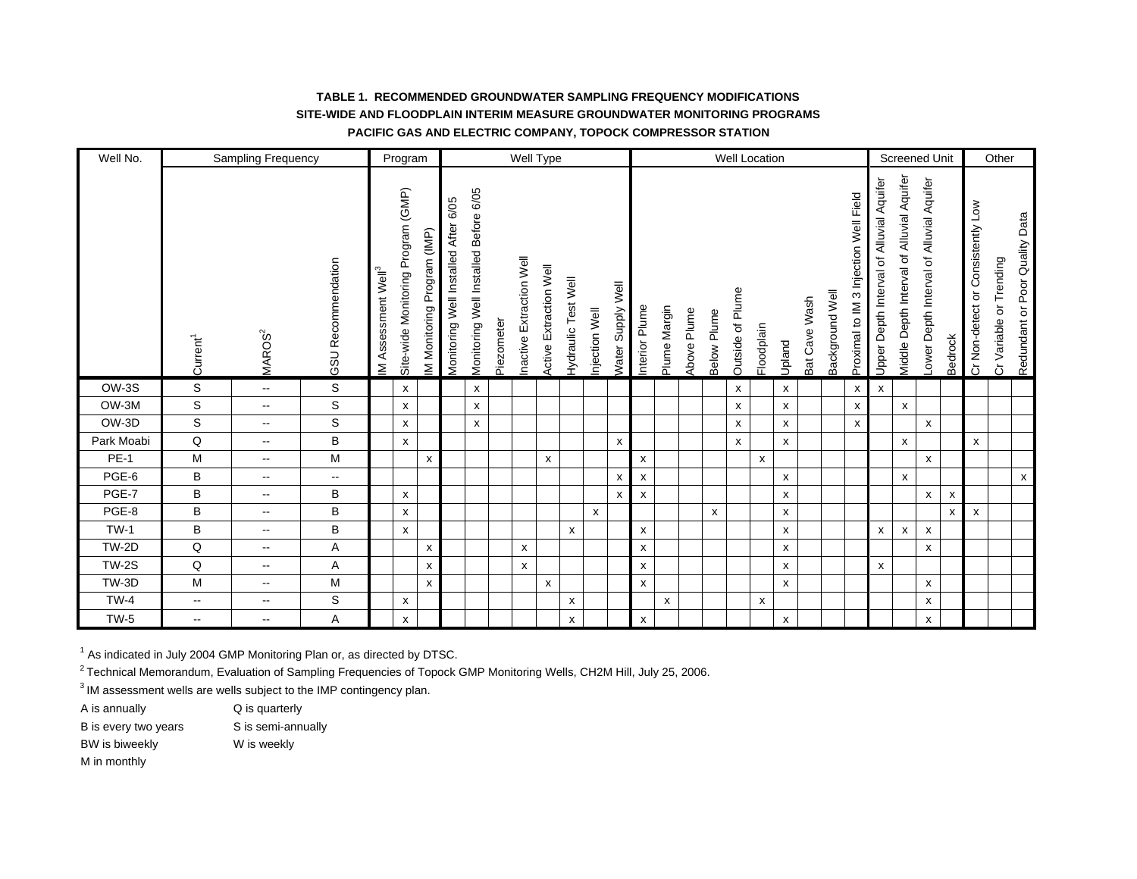| Well No.     |                      | Sampling Frequency       |                    |                                   | Program                            |                            |                                      |                                       |            | Well Type                  |                               |                            |               |                          |               |              |             |                    |                           | Well Location |                           |               |                 |                                          |                                          |                                           | Screened Unit                           |         |                                   | Other                      |                                |
|--------------|----------------------|--------------------------|--------------------|-----------------------------------|------------------------------------|----------------------------|--------------------------------------|---------------------------------------|------------|----------------------------|-------------------------------|----------------------------|---------------|--------------------------|---------------|--------------|-------------|--------------------|---------------------------|---------------|---------------------------|---------------|-----------------|------------------------------------------|------------------------------------------|-------------------------------------------|-----------------------------------------|---------|-----------------------------------|----------------------------|--------------------------------|
|              | Current <sup>1</sup> | MAROS <sup>2</sup>       | GSU Recommendation | Assessment Well <sup>3</sup><br>≦ | Site-wide Monitoring Program (GMP) | M Monitoring Program (IMP) | Monitoring Well Installed After 6/05 | Monitoring Well Installed Before 6/05 | Piezometer | Extraction Well<br>nactive | <b>Active Extraction Well</b> | <b>lydraulic Test Well</b> | njection Well | <b>Nater Supply Well</b> | nterior Plume | Plume Margin | Above Plume | <b>Below Plume</b> | <b>Dutside of Plume</b>   | Floodplain    | Upland                    | Bat Cave Wash | Background Well | 3 Injection Well Field<br>Proximal to IM | Jpper Depth Interval of Alluvial Aquifer | Aiddle Depth Interval of Alluvial Aquifer | ower Depth Interval of Alluvial Aquifer | Bedrock | Cr Non-detect or Consistently Low | Trending<br>Cr Variable or | Redundant or Poor Quality Data |
| OW-3S        | S                    | $\sim$                   | S                  |                                   | X                                  |                            |                                      | x                                     |            |                            |                               |                            |               |                          |               |              |             |                    | X                         |               | $\mathsf{x}$              |               |                 | X                                        | $\mathsf{x}$                             |                                           |                                         |         |                                   |                            |                                |
| OW-3M        | $\mathsf{s}$         | $\overline{\phantom{a}}$ | S                  |                                   | $\mathsf{x}$                       |                            |                                      | X                                     |            |                            |                               |                            |               |                          |               |              |             |                    | $\boldsymbol{\mathsf{x}}$ |               | $\boldsymbol{\mathsf{x}}$ |               |                 | $\mathsf{x}$                             |                                          | $\boldsymbol{\mathsf{x}}$                 |                                         |         |                                   |                            |                                |
| OW-3D        | S                    | $\mathbf{u}$             | S                  |                                   | X                                  |                            |                                      | X                                     |            |                            |                               |                            |               |                          |               |              |             |                    | x                         |               | $\pmb{\chi}$              |               |                 | $\boldsymbol{\mathsf{x}}$                |                                          |                                           | x                                       |         |                                   |                            |                                |
| Park Moabi   | Q                    | $\overline{\phantom{a}}$ | B                  |                                   | X                                  |                            |                                      |                                       |            |                            |                               |                            |               | X                        |               |              |             |                    | x                         |               | $\boldsymbol{\mathsf{x}}$ |               |                 |                                          |                                          | $\pmb{\chi}$                              |                                         |         | x                                 |                            |                                |
| <b>PE-1</b>  | M                    | $\overline{\phantom{a}}$ | M                  |                                   |                                    | X                          |                                      |                                       |            |                            | X                             |                            |               |                          | x             |              |             |                    |                           | X             |                           |               |                 |                                          |                                          |                                           | X                                       |         |                                   |                            |                                |
| PGE-6        | B                    | $\overline{\phantom{a}}$ | --                 |                                   |                                    |                            |                                      |                                       |            |                            |                               |                            |               | x                        | x             |              |             |                    |                           |               | $\pmb{\mathsf{X}}$        |               |                 |                                          |                                          | X                                         |                                         |         |                                   |                            | $\mathsf X$                    |
| PGE-7        | B                    | $\overline{\phantom{a}}$ | B                  |                                   | $\pmb{\chi}$                       |                            |                                      |                                       |            |                            |                               |                            |               | X                        | x             |              |             |                    |                           |               | X                         |               |                 |                                          |                                          |                                           | X                                       | X       |                                   |                            |                                |
| PGE-8        | B                    | $\mathbf{u}$             | B                  |                                   | $\pmb{\chi}$                       |                            |                                      |                                       |            |                            |                               |                            | X             |                          |               |              |             | X                  |                           |               | $\boldsymbol{\mathsf{x}}$ |               |                 |                                          |                                          |                                           |                                         | X       | X                                 |                            |                                |
| <b>TW-1</b>  | B                    | $\sim$                   | B                  |                                   | X                                  |                            |                                      |                                       |            |                            |                               | $\boldsymbol{\mathsf{x}}$  |               |                          | x             |              |             |                    |                           |               | X                         |               |                 |                                          | X                                        | X                                         | X                                       |         |                                   |                            |                                |
| TW-2D        | Q                    | $\overline{\phantom{a}}$ | Α                  |                                   |                                    | X                          |                                      |                                       |            | X                          |                               |                            |               |                          | x             |              |             |                    |                           |               | X                         |               |                 |                                          |                                          |                                           | x                                       |         |                                   |                            |                                |
| <b>TW-2S</b> | Q                    | $\sim$ $\sim$            | Α                  |                                   |                                    | $\boldsymbol{\mathsf{x}}$  |                                      |                                       |            | $\boldsymbol{\mathsf{x}}$  |                               |                            |               |                          | x             |              |             |                    |                           |               | X                         |               |                 |                                          | X                                        |                                           |                                         |         |                                   |                            |                                |
| TW-3D        | M                    | $\mathbf{u}$             | M                  |                                   |                                    | $\boldsymbol{\mathsf{x}}$  |                                      |                                       |            |                            | x                             |                            |               |                          | x             |              |             |                    |                           |               | $\pmb{\chi}$              |               |                 |                                          |                                          |                                           | X                                       |         |                                   |                            |                                |
| $TW-4$       | $\sim$               | $\mathbf{u}$             | S                  |                                   | $\pmb{\times}$                     |                            |                                      |                                       |            |                            |                               | X                          |               |                          |               | X            |             |                    |                           | x             |                           |               |                 |                                          |                                          |                                           | x                                       |         |                                   |                            |                                |
| $TW-5$       | --                   | $\mathbf{u}$             | Α                  |                                   | X                                  |                            |                                      |                                       |            |                            |                               | X                          |               |                          | x             |              |             |                    |                           |               | x                         |               |                 |                                          |                                          |                                           | x                                       |         |                                   |                            |                                |

<sup>1</sup> As indicated in July 2004 GMP Monitoring Plan or, as directed by DTSC.

<sup>2</sup> Technical Memorandum, Evaluation of Sampling Frequencies of Topock GMP Monitoring Wells, CH2M Hill, July 25, 2006.

<sup>3</sup> IM assessment wells are wells subject to the IMP contingency plan.

A is annually  $Q$  is quarterly

- B is every two years S is semi-annually
- BW is biweekly Wis weekly

M in monthly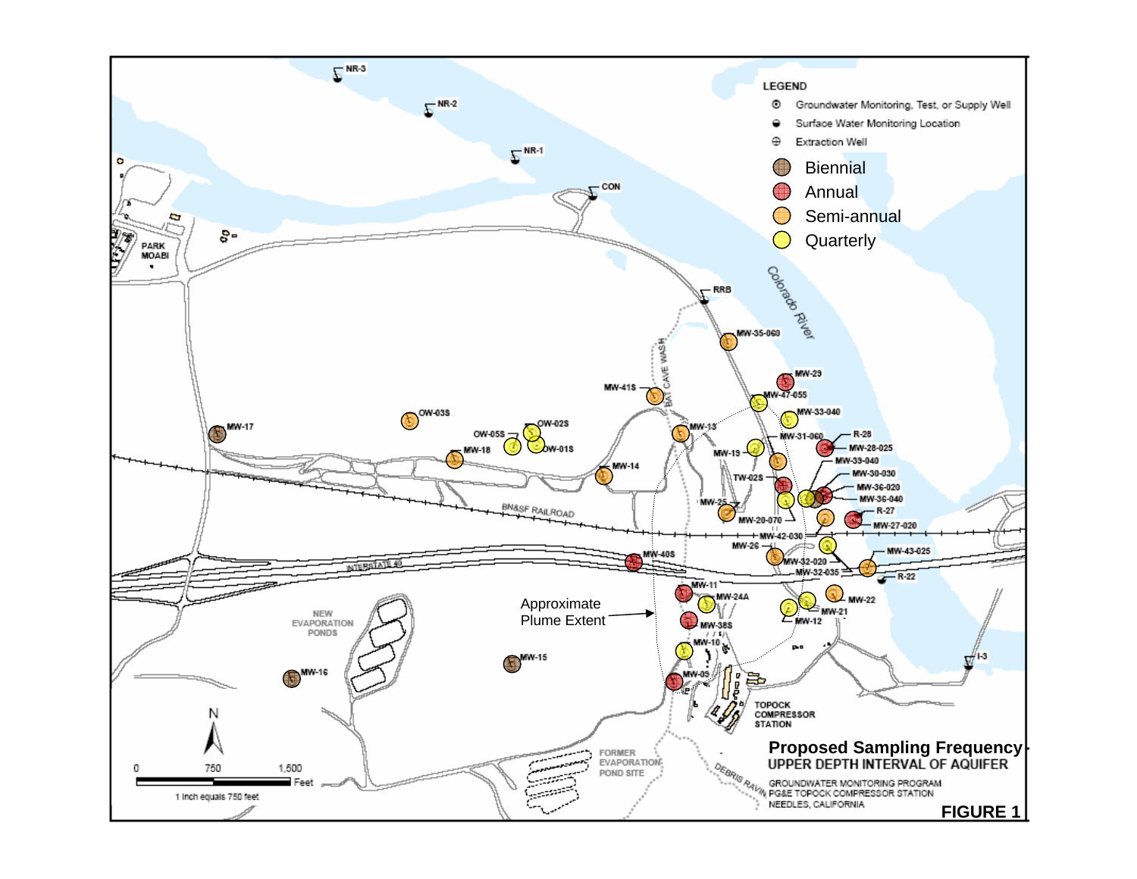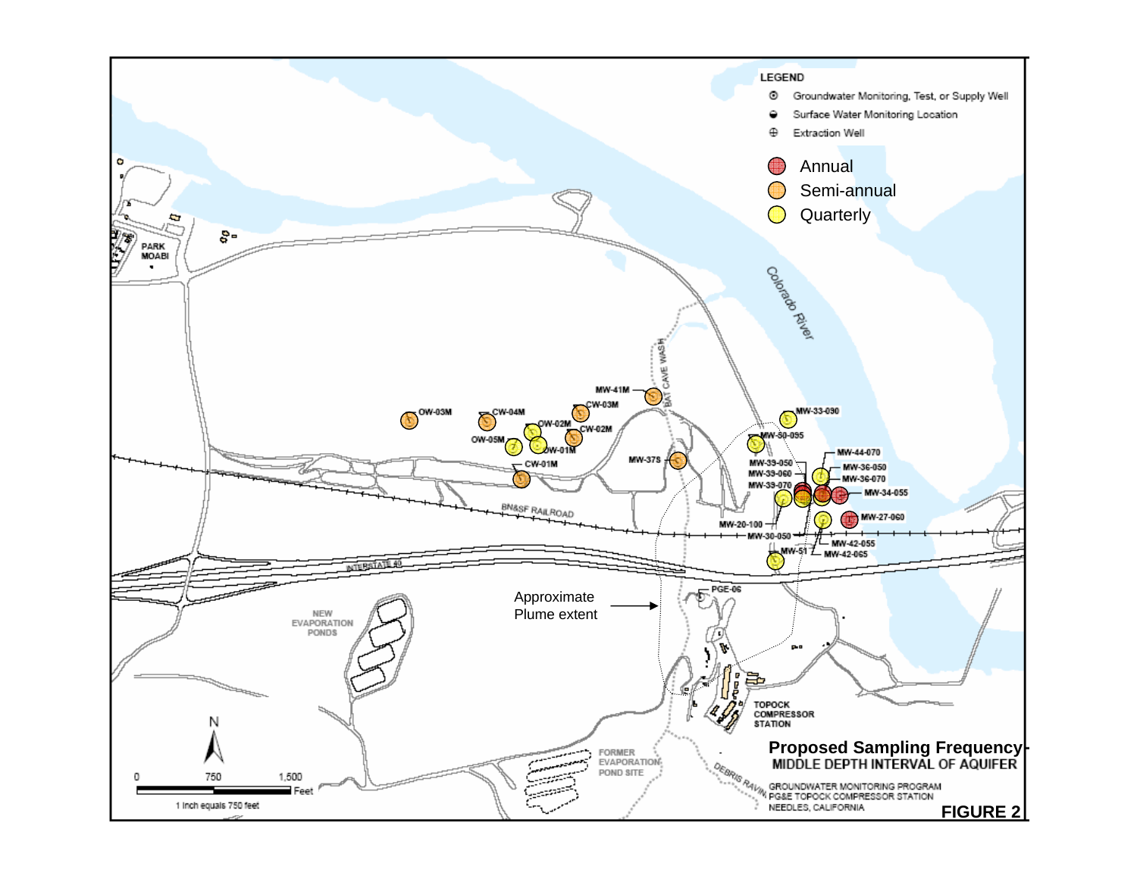